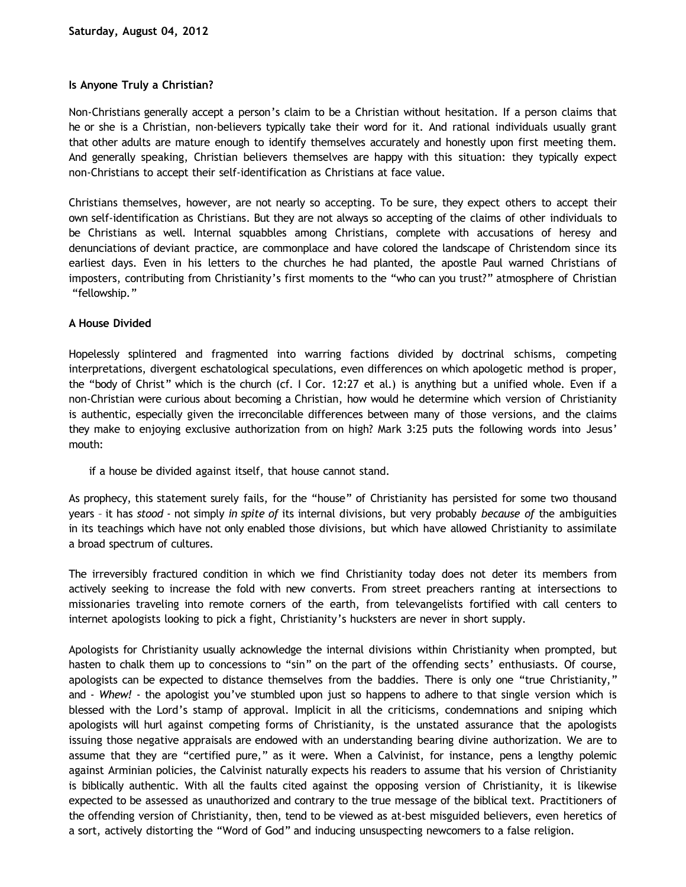# **Is Anyone Truly a Christian?**

Non-Christians generally accept a person's claim to be a Christian without hesitation. If a person claims that he or she is a Christian, non-believers typically take their word for it. And rational individuals usually grant that other adults are mature enough to identify themselves accurately and honestly upon first meeting them. And generally speaking, Christian believers themselves are happy with this situation: they typically expect non-Christians to accept their self-identification as Christians at face value.

Christians themselves, however, are not nearly so accepting. To be sure, they expect others to accept their own self-identification as Christians. But they are not always so accepting of the claims of other individuals to be Christians as well. Internal squabbles among Christians, complete with accusations of heresy and denunciations of deviant practice, are commonplace and have colored the landscape of Christendom since its earliest days. Even in his letters to the churches he had planted, the apostle Paul warned Christians of imposters, contributing from Christianity's first moments to the "who can you trust?" atmosphere of Christian "fellowship."

## **A House Divided**

Hopelessly splintered and fragmented into warring factions divided by doctrinal schisms, competing interpretations, divergent eschatological speculations, even differences on which apologetic method is proper, the "body of Christ" which is the church (cf. I Cor. 12:27 et al.) is anything but a unified whole. Even if a non-Christian were curious about becoming a Christian, how would he determine which version of Christianity is authentic, especially given the irreconcilable differences between many of those versions, and the claims they make to enjoying exclusive authorization from on high? Mark 3:25 puts the following words into Jesus' mouth:

if a house be divided against itself, that house cannot stand.

As prophecy, this statement surely fails, for the "house" of Christianity has persisted for some two thousand years – it has *stood* - not simply *in spite of* its internal divisions, but very probably *because of* the ambiguities in its teachings which have not only enabled those divisions, but which have allowed Christianity to assimilate a broad spectrum of cultures.

The irreversibly fractured condition in which we find Christianity today does not deter its members from actively seeking to increase the fold with new converts. From street preachers ranting at intersections to missionaries traveling into remote corners of the earth, from televangelists fortified with call centers to internet apologists looking to pick a fight, Christianity's hucksters are never in short supply.

Apologists for Christianity usually acknowledge the internal divisions within Christianity when prompted, but hasten to chalk them up to concessions to "sin" on the part of the offending sects' enthusiasts. Of course, apologists can be expected to distance themselves from the baddies. There is only one "true Christianity," and - *Whew!* - the apologist you've stumbled upon just so happens to adhere to that single version which is blessed with the Lord's stamp of approval. Implicit in all the criticisms, condemnations and sniping which apologists will hurl against competing forms of Christianity, is the unstated assurance that the apologists issuing those negative appraisals are endowed with an understanding bearing divine authorization. We are to assume that they are "certified pure," as it were. When a Calvinist, for instance, pens a lengthy polemic against Arminian policies, the Calvinist naturally expects his readers to assume that his version of Christianity is biblically authentic. With all the faults cited against the opposing version of Christianity, it is likewise expected to be assessed as unauthorized and contrary to the true message of the biblical text. Practitioners of the offending version of Christianity, then, tend to be viewed as at-best misguided believers, even heretics of a sort, actively distorting the "Word of God" and inducing unsuspecting newcomers to a false religion.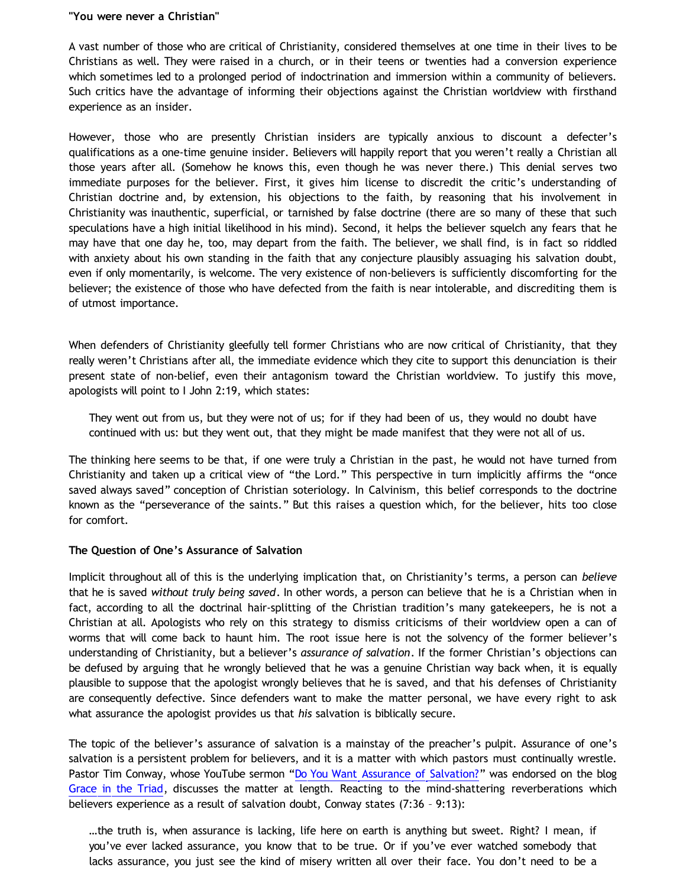#### **"You were never a Christian"**

A vast number of those who are critical of Christianity, considered themselves at one time in their lives to be Christians as well. They were raised in a church, or in their teens or twenties had a conversion experience which sometimes led to a prolonged period of indoctrination and immersion within a community of believers. Such critics have the advantage of informing their objections against the Christian worldview with firsthand experience as an insider.

However, those who are presently Christian insiders are typically anxious to discount a defecter's qualifications as a one-time genuine insider. Believers will happily report that you weren't really a Christian all those years after all. (Somehow he knows this, even though he was never there.) This denial serves two immediate purposes for the believer. First, it gives him license to discredit the critic's understanding of Christian doctrine and, by extension, his objections to the faith, by reasoning that his involvement in Christianity was inauthentic, superficial, or tarnished by false doctrine (there are so many of these that such speculations have a high initial likelihood in his mind). Second, it helps the believer squelch any fears that he may have that one day he, too, may depart from the faith. The believer, we shall find, is in fact so riddled with anxiety about his own standing in the faith that any conjecture plausibly assuaging his salvation doubt, even if only momentarily, is welcome. The very existence of non-believers is sufficiently discomforting for the believer; the existence of those who have defected from the faith is near intolerable, and discrediting them is of utmost importance.

When defenders of Christianity gleefully tell former Christians who are now critical of Christianity, that they really weren't Christians after all, the immediate evidence which they cite to support this denunciation is their present state of non-belief, even their antagonism toward the Christian worldview. To justify this move, apologists will point to I John 2:19, which states:

They went out from us, but they were not of us; for if they had been of us, they would no doubt have continued with us: but they went out, that they might be made manifest that they were not all of us.

The thinking here seems to be that, if one were truly a Christian in the past, he would not have turned from Christianity and taken up a critical view of "the Lord." This perspective in turn implicitly affirms the "once saved always saved" conception of Christian soteriology. In Calvinism, this belief corresponds to the doctrine known as the "perseverance of the saints." But this raises a question which, for the believer, hits too close for comfort.

### **The Question of One's Assurance of Salvation**

Implicit throughout all of this is the underlying implication that, on Christianity's terms, a person can *believe* that he is saved *without truly being saved*. In other words, a person can believe that he is a Christian when in fact, according to all the doctrinal hair-splitting of the Christian tradition's many gatekeepers, he is not a Christian at all. Apologists who rely on this strategy to dismiss criticisms of their worldview open a can of worms that will come back to haunt him. The root issue here is not the solvency of the former believer's understanding of Christianity, but a believer's *assurance of salvation*. If the former Christian's objections can be defused by arguing that he wrongly believed that he was a genuine Christian way back when, it is equally plausible to suppose that the apologist wrongly believes that he is saved, and that his defenses of Christianity are consequently defective. Since defenders want to make the matter personal, we have every right to ask what assurance the apologist provides us that *his* salvation is biblically secure.

The topic of the believer's assurance of salvation is a mainstay of the preacher's pulpit. Assurance of one's salvation is a persistent problem for believers, and it is a matter with which pastors must continually wrestle. Pastor Tim Conway, whose YouTube sermon ["Do You Want Assurance of Salvation?](http://www.youtube.com/watch?v=_6UTDtI5cEI)" was endorsed on the blog [Grace in the Triad](http://www.blogger.com/), discusses the matter at length. Reacting to the mind-shattering reverberations which believers experience as a result of salvation doubt, Conway states (7:36 – 9:13):

…the truth is, when assurance is lacking, life here on earth is anything but sweet. Right? I mean, if you've ever lacked assurance, you know that to be true. Or if you've ever watched somebody that lacks assurance, you just see the kind of misery written all over their face. You don't need to be a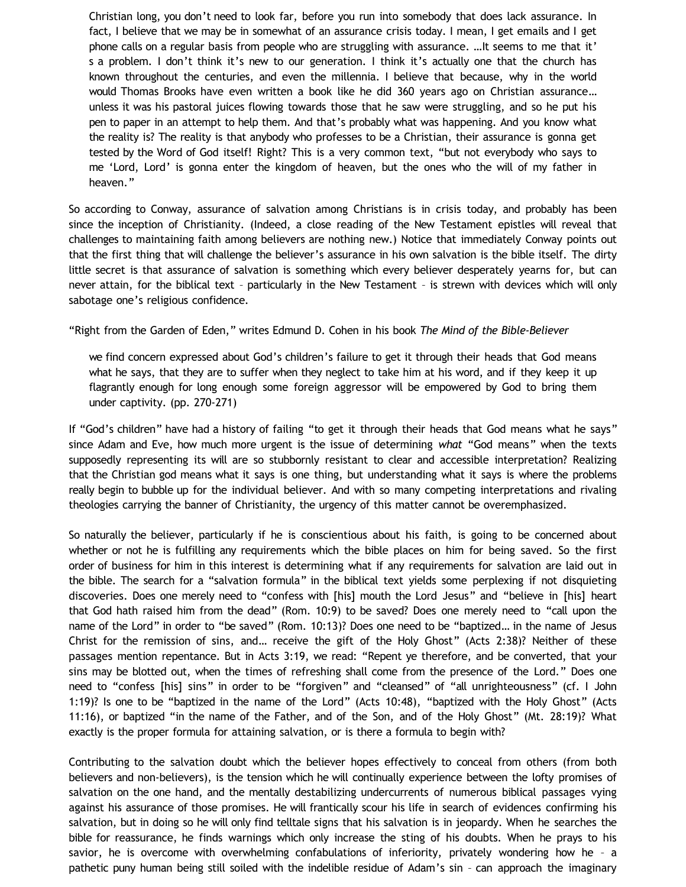Christian long, you don't need to look far, before you run into somebody that does lack assurance. In fact, I believe that we may be in somewhat of an assurance crisis today. I mean, I get emails and I get phone calls on a regular basis from people who are struggling with assurance. …It seems to me that it' s a problem. I don't think it's new to our generation. I think it's actually one that the church has known throughout the centuries, and even the millennia. I believe that because, why in the world would Thomas Brooks have even written a book like he did 360 years ago on Christian assurance… unless it was his pastoral juices flowing towards those that he saw were struggling, and so he put his pen to paper in an attempt to help them. And that's probably what was happening. And you know what the reality is? The reality is that anybody who professes to be a Christian, their assurance is gonna get tested by the Word of God itself! Right? This is a very common text, "but not everybody who says to me 'Lord, Lord' is gonna enter the kingdom of heaven, but the ones who the will of my father in heaven."

So according to Conway, assurance of salvation among Christians is in crisis today, and probably has been since the inception of Christianity. (Indeed, a close reading of the New Testament epistles will reveal that challenges to maintaining faith among believers are nothing new.) Notice that immediately Conway points out that the first thing that will challenge the believer's assurance in his own salvation is the bible itself. The dirty little secret is that assurance of salvation is something which every believer desperately yearns for, but can never attain, for the biblical text – particularly in the New Testament – is strewn with devices which will only sabotage one's religious confidence.

"Right from the Garden of Eden," writes Edmund D. Cohen in his book *The Mind of the Bible-Believer*

we find concern expressed about God's children's failure to get it through their heads that God means what he says, that they are to suffer when they neglect to take him at his word, and if they keep it up flagrantly enough for long enough some foreign aggressor will be empowered by God to bring them under captivity. (pp. 270-271)

If "God's children" have had a history of failing "to get it through their heads that God means what he says" since Adam and Eve, how much more urgent is the issue of determining *what* "God means" when the texts supposedly representing its will are so stubbornly resistant to clear and accessible interpretation? Realizing that the Christian god means what it says is one thing, but understanding what it says is where the problems really begin to bubble up for the individual believer. And with so many competing interpretations and rivaling theologies carrying the banner of Christianity, the urgency of this matter cannot be overemphasized.

So naturally the believer, particularly if he is conscientious about his faith, is going to be concerned about whether or not he is fulfilling any requirements which the bible places on him for being saved. So the first order of business for him in this interest is determining what if any requirements for salvation are laid out in the bible. The search for a "salvation formula" in the biblical text yields some perplexing if not disquieting discoveries. Does one merely need to "confess with [his] mouth the Lord Jesus" and "believe in [his] heart that God hath raised him from the dead" (Rom. 10:9) to be saved? Does one merely need to "call upon the name of the Lord" in order to "be saved" (Rom. 10:13)? Does one need to be "baptized… in the name of Jesus Christ for the remission of sins, and… receive the gift of the Holy Ghost" (Acts 2:38)? Neither of these passages mention repentance. But in Acts 3:19, we read: "Repent ye therefore, and be converted, that your sins may be blotted out, when the times of refreshing shall come from the presence of the Lord." Does one need to "confess [his] sins" in order to be "forgiven" and "cleansed" of "all unrighteousness" (cf. I John 1:19)? Is one to be "baptized in the name of the Lord" (Acts 10:48), "baptized with the Holy Ghost" (Acts 11:16), or baptized "in the name of the Father, and of the Son, and of the Holy Ghost" (Mt. 28:19)? What exactly is the proper formula for attaining salvation, or is there a formula to begin with?

Contributing to the salvation doubt which the believer hopes effectively to conceal from others (from both believers and non-believers), is the tension which he will continually experience between the lofty promises of salvation on the one hand, and the mentally destabilizing undercurrents of numerous biblical passages vying against his assurance of those promises. He will frantically scour his life in search of evidences confirming his salvation, but in doing so he will only find telltale signs that his salvation is in jeopardy. When he searches the bible for reassurance, he finds warnings which only increase the sting of his doubts. When he prays to his savior, he is overcome with overwhelming confabulations of inferiority, privately wondering how he – a pathetic puny human being still soiled with the indelible residue of Adam's sin – can approach the imaginary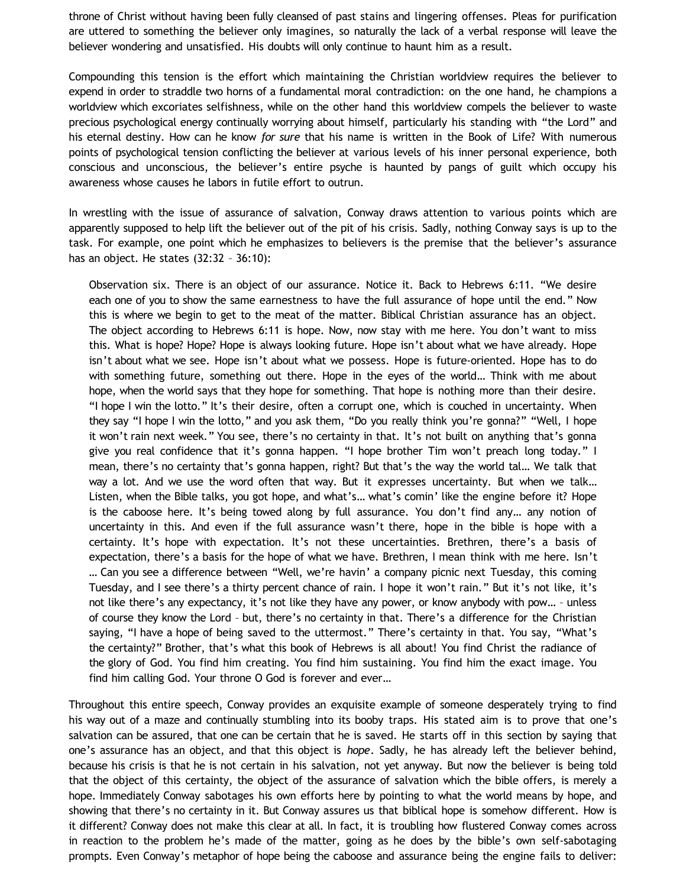throne of Christ without having been fully cleansed of past stains and lingering offenses. Pleas for purification are uttered to something the believer only imagines, so naturally the lack of a verbal response will leave the believer wondering and unsatisfied. His doubts will only continue to haunt him as a result.

Compounding this tension is the effort which maintaining the Christian worldview requires the believer to expend in order to straddle two horns of a fundamental moral contradiction: on the one hand, he champions a worldview which excoriates selfishness, while on the other hand this worldview compels the believer to waste precious psychological energy continually worrying about himself, particularly his standing with "the Lord" and his eternal destiny. How can he know *for sure* that his name is written in the Book of Life? With numerous points of psychological tension conflicting the believer at various levels of his inner personal experience, both conscious and unconscious, the believer's entire psyche is haunted by pangs of guilt which occupy his awareness whose causes he labors in futile effort to outrun.

In wrestling with the issue of assurance of salvation, Conway draws attention to various points which are apparently supposed to help lift the believer out of the pit of his crisis. Sadly, nothing Conway says is up to the task. For example, one point which he emphasizes to believers is the premise that the believer's assurance has an object. He states (32:32 – 36:10):

Observation six. There is an object of our assurance. Notice it. Back to Hebrews 6:11. "We desire each one of you to show the same earnestness to have the full assurance of hope until the end." Now this is where we begin to get to the meat of the matter. Biblical Christian assurance has an object. The object according to Hebrews 6:11 is hope. Now, now stay with me here. You don't want to miss this. What is hope? Hope? Hope is always looking future. Hope isn't about what we have already. Hope isn't about what we see. Hope isn't about what we possess. Hope is future-oriented. Hope has to do with something future, something out there. Hope in the eyes of the world… Think with me about hope, when the world says that they hope for something. That hope is nothing more than their desire. "I hope I win the lotto." It's their desire, often a corrupt one, which is couched in uncertainty. When they say "I hope I win the lotto," and you ask them, "Do you really think you're gonna?" "Well, I hope it won't rain next week." You see, there's no certainty in that. It's not built on anything that's gonna give you real confidence that it's gonna happen. "I hope brother Tim won't preach long today." I mean, there's no certainty that's gonna happen, right? But that's the way the world tal… We talk that way a lot. And we use the word often that way. But it expresses uncertainty. But when we talk… Listen, when the Bible talks, you got hope, and what's… what's comin' like the engine before it? Hope is the caboose here. It's being towed along by full assurance. You don't find any… any notion of uncertainty in this. And even if the full assurance wasn't there, hope in the bible is hope with a certainty. It's hope with expectation. It's not these uncertainties. Brethren, there's a basis of expectation, there's a basis for the hope of what we have. Brethren, I mean think with me here. Isn't … Can you see a difference between "Well, we're havin' a company picnic next Tuesday, this coming Tuesday, and I see there's a thirty percent chance of rain. I hope it won't rain." But it's not like, it's not like there's any expectancy, it's not like they have any power, or know anybody with pow… – unless of course they know the Lord – but, there's no certainty in that. There's a difference for the Christian saying, "I have a hope of being saved to the uttermost." There's certainty in that. You say, "What's the certainty?" Brother, that's what this book of Hebrews is all about! You find Christ the radiance of the glory of God. You find him creating. You find him sustaining. You find him the exact image. You find him calling God. Your throne O God is forever and ever…

Throughout this entire speech, Conway provides an exquisite example of someone desperately trying to find his way out of a maze and continually stumbling into its booby traps. His stated aim is to prove that one's salvation can be assured, that one can be certain that he is saved. He starts off in this section by saying that one's assurance has an object, and that this object is *hope*. Sadly, he has already left the believer behind, because his crisis is that he is not certain in his salvation, not yet anyway. But now the believer is being told that the object of this certainty, the object of the assurance of salvation which the bible offers, is merely a hope. Immediately Conway sabotages his own efforts here by pointing to what the world means by hope, and showing that there's no certainty in it. But Conway assures us that biblical hope is somehow different. How is it different? Conway does not make this clear at all. In fact, it is troubling how flustered Conway comes across in reaction to the problem he's made of the matter, going as he does by the bible's own self-sabotaging prompts. Even Conway's metaphor of hope being the caboose and assurance being the engine fails to deliver: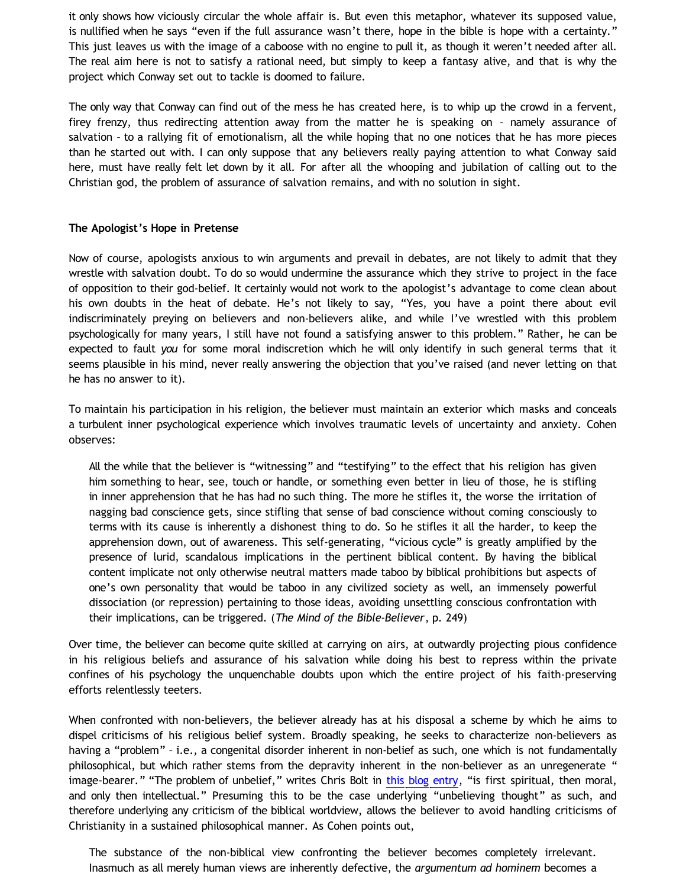it only shows how viciously circular the whole affair is. But even this metaphor, whatever its supposed value, is nullified when he says "even if the full assurance wasn't there, hope in the bible is hope with a certainty." This just leaves us with the image of a caboose with no engine to pull it, as though it weren't needed after all. The real aim here is not to satisfy a rational need, but simply to keep a fantasy alive, and that is why the project which Conway set out to tackle is doomed to failure.

The only way that Conway can find out of the mess he has created here, is to whip up the crowd in a fervent, firey frenzy, thus redirecting attention away from the matter he is speaking on – namely assurance of salvation – to a rallying fit of emotionalism, all the while hoping that no one notices that he has more pieces than he started out with. I can only suppose that any believers really paying attention to what Conway said here, must have really felt let down by it all. For after all the whooping and jubilation of calling out to the Christian god, the problem of assurance of salvation remains, and with no solution in sight.

## **The Apologist's Hope in Pretense**

Now of course, apologists anxious to win arguments and prevail in debates, are not likely to admit that they wrestle with salvation doubt. To do so would undermine the assurance which they strive to project in the face of opposition to their god-belief. It certainly would not work to the apologist's advantage to come clean about his own doubts in the heat of debate. He's not likely to say, "Yes, you have a point there about evil indiscriminately preying on believers and non-believers alike, and while I've wrestled with this problem psychologically for many years, I still have not found a satisfying answer to this problem." Rather, he can be expected to fault *you* for some moral indiscretion which he will only identify in such general terms that it seems plausible in his mind, never really answering the objection that you've raised (and never letting on that he has no answer to it).

To maintain his participation in his religion, the believer must maintain an exterior which masks and conceals a turbulent inner psychological experience which involves traumatic levels of uncertainty and anxiety. Cohen observes:

All the while that the believer is "witnessing" and "testifying" to the effect that his religion has given him something to hear, see, touch or handle, or something even better in lieu of those, he is stifling in inner apprehension that he has had no such thing. The more he stifles it, the worse the irritation of nagging bad conscience gets, since stifling that sense of bad conscience without coming consciously to terms with its cause is inherently a dishonest thing to do. So he stifles it all the harder, to keep the apprehension down, out of awareness. This self-generating, "vicious cycle" is greatly amplified by the presence of lurid, scandalous implications in the pertinent biblical content. By having the biblical content implicate not only otherwise neutral matters made taboo by biblical prohibitions but aspects of one's own personality that would be taboo in any civilized society as well, an immensely powerful dissociation (or repression) pertaining to those ideas, avoiding unsettling conscious confrontation with their implications, can be triggered. (*The Mind of the Bible-Believer*, p. 249)

Over time, the believer can become quite skilled at carrying on airs, at outwardly projecting pious confidence in his religious beliefs and assurance of his salvation while doing his best to repress within the private confines of his psychology the unquenchable doubts upon which the entire project of his faith-preserving efforts relentlessly teeters.

When confronted with non-believers, the believer already has at his disposal a scheme by which he aims to dispel criticisms of his religious belief system. Broadly speaking, he seeks to characterize non-believers as having a "problem" – i.e., a congenital disorder inherent in non-belief as such, one which is not fundamentally philosophical, but which rather stems from the depravity inherent in the non-believer as an unregenerate " image-bearer." "The problem of unbelief," writes Chris Bolt in [this blog entry,](http://www.choosinghats.com/2012/05/the-unbelievers-problem/) "is first spiritual, then moral, and only then intellectual." Presuming this to be the case underlying "unbelieving thought" as such, and therefore underlying any criticism of the biblical worldview, allows the believer to avoid handling criticisms of Christianity in a sustained philosophical manner. As Cohen points out,

The substance of the non-biblical view confronting the believer becomes completely irrelevant. Inasmuch as all merely human views are inherently defective, the *argumentum ad hominem* becomes a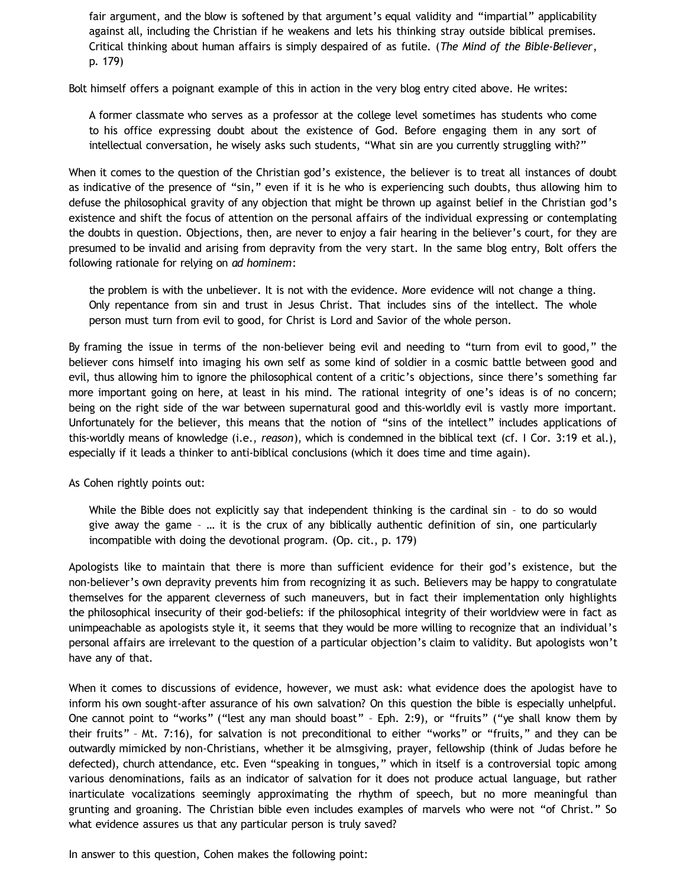fair argument, and the blow is softened by that argument's equal validity and "impartial" applicability against all, including the Christian if he weakens and lets his thinking stray outside biblical premises. Critical thinking about human affairs is simply despaired of as futile. (*The Mind of the Bible-Believer*, p. 179)

Bolt himself offers a poignant example of this in action in the very blog entry cited above. He writes:

A former classmate who serves as a professor at the college level sometimes has students who come to his office expressing doubt about the existence of God. Before engaging them in any sort of intellectual conversation, he wisely asks such students, "What sin are you currently struggling with?"

When it comes to the question of the Christian god's existence, the believer is to treat all instances of doubt as indicative of the presence of "sin," even if it is he who is experiencing such doubts, thus allowing him to defuse the philosophical gravity of any objection that might be thrown up against belief in the Christian god's existence and shift the focus of attention on the personal affairs of the individual expressing or contemplating the doubts in question. Objections, then, are never to enjoy a fair hearing in the believer's court, for they are presumed to be invalid and arising from depravity from the very start. In the same blog entry, Bolt offers the following rationale for relying on *ad hominem*:

the problem is with the unbeliever. It is not with the evidence. More evidence will not change a thing. Only repentance from sin and trust in Jesus Christ. That includes sins of the intellect. The whole person must turn from evil to good, for Christ is Lord and Savior of the whole person.

By framing the issue in terms of the non-believer being evil and needing to "turn from evil to good," the believer cons himself into imaging his own self as some kind of soldier in a cosmic battle between good and evil, thus allowing him to ignore the philosophical content of a critic's objections, since there's something far more important going on here, at least in his mind. The rational integrity of one's ideas is of no concern; being on the right side of the war between supernatural good and this-worldly evil is vastly more important. Unfortunately for the believer, this means that the notion of "sins of the intellect" includes applications of this-worldly means of knowledge (i.e., *reason*), which is condemned in the biblical text (cf. I Cor. 3:19 et al.), especially if it leads a thinker to anti-biblical conclusions (which it does time and time again).

As Cohen rightly points out:

While the Bible does not explicitly say that independent thinking is the cardinal sin – to do so would give away the game – … it is the crux of any biblically authentic definition of sin, one particularly incompatible with doing the devotional program. (Op. cit., p. 179)

Apologists like to maintain that there is more than sufficient evidence for their god's existence, but the non-believer's own depravity prevents him from recognizing it as such. Believers may be happy to congratulate themselves for the apparent cleverness of such maneuvers, but in fact their implementation only highlights the philosophical insecurity of their god-beliefs: if the philosophical integrity of their worldview were in fact as unimpeachable as apologists style it, it seems that they would be more willing to recognize that an individual's personal affairs are irrelevant to the question of a particular objection's claim to validity. But apologists won't have any of that.

When it comes to discussions of evidence, however, we must ask: what evidence does the apologist have to inform his own sought-after assurance of his own salvation? On this question the bible is especially unhelpful. One cannot point to "works" ("lest any man should boast" – Eph. 2:9), or "fruits" ("ye shall know them by their fruits" – Mt. 7:16), for salvation is not preconditional to either "works" or "fruits," and they can be outwardly mimicked by non-Christians, whether it be almsgiving, prayer, fellowship (think of Judas before he defected), church attendance, etc. Even "speaking in tongues," which in itself is a controversial topic among various denominations, fails as an indicator of salvation for it does not produce actual language, but rather inarticulate vocalizations seemingly approximating the rhythm of speech, but no more meaningful than grunting and groaning. The Christian bible even includes examples of marvels who were not "of Christ." So what evidence assures us that any particular person is truly saved?

In answer to this question, Cohen makes the following point: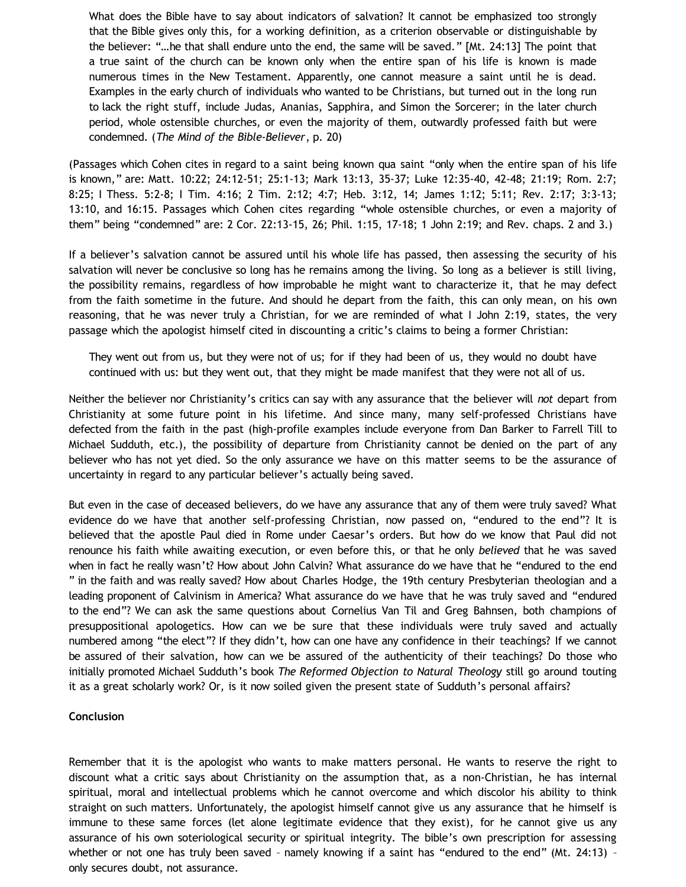What does the Bible have to say about indicators of salvation? It cannot be emphasized too strongly that the Bible gives only this, for a working definition, as a criterion observable or distinguishable by the believer: "…he that shall endure unto the end, the same will be saved." [Mt. 24:13] The point that a true saint of the church can be known only when the entire span of his life is known is made numerous times in the New Testament. Apparently, one cannot measure a saint until he is dead. Examples in the early church of individuals who wanted to be Christians, but turned out in the long run to lack the right stuff, include Judas, Ananias, Sapphira, and Simon the Sorcerer; in the later church period, whole ostensible churches, or even the majority of them, outwardly professed faith but were condemned. (*The Mind of the Bible-Believer*, p. 20)

(Passages which Cohen cites in regard to a saint being known qua saint "only when the entire span of his life is known," are: Matt. 10:22; 24:12-51; 25:1-13; Mark 13:13, 35-37; Luke 12:35-40, 42-48; 21:19; Rom. 2:7; 8:25; I Thess. 5:2-8; I Tim. 4:16; 2 Tim. 2:12; 4:7; Heb. 3:12, 14; James 1:12; 5:11; Rev. 2:17; 3:3-13; 13:10, and 16:15. Passages which Cohen cites regarding "whole ostensible churches, or even a majority of them" being "condemned" are: 2 Cor. 22:13-15, 26; Phil. 1:15, 17-18; 1 John 2:19; and Rev. chaps. 2 and 3.)

If a believer's salvation cannot be assured until his whole life has passed, then assessing the security of his salvation will never be conclusive so long has he remains among the living. So long as a believer is still living, the possibility remains, regardless of how improbable he might want to characterize it, that he may defect from the faith sometime in the future. And should he depart from the faith, this can only mean, on his own reasoning, that he was never truly a Christian, for we are reminded of what I John 2:19, states, the very passage which the apologist himself cited in discounting a critic's claims to being a former Christian:

They went out from us, but they were not of us; for if they had been of us, they would no doubt have continued with us: but they went out, that they might be made manifest that they were not all of us.

Neither the believer nor Christianity's critics can say with any assurance that the believer will *not* depart from Christianity at some future point in his lifetime. And since many, many self-professed Christians have defected from the faith in the past (high-profile examples include everyone from Dan Barker to Farrell Till to Michael Sudduth, etc.), the possibility of departure from Christianity cannot be denied on the part of any believer who has not yet died. So the only assurance we have on this matter seems to be the assurance of uncertainty in regard to any particular believer's actually being saved.

But even in the case of deceased believers, do we have any assurance that any of them were truly saved? What evidence do we have that another self-professing Christian, now passed on, "endured to the end"? It is believed that the apostle Paul died in Rome under Caesar's orders. But how do we know that Paul did not renounce his faith while awaiting execution, or even before this, or that he only *believed* that he was saved when in fact he really wasn't? How about John Calvin? What assurance do we have that he "endured to the end " in the faith and was really saved? How about Charles Hodge, the 19th century Presbyterian theologian and a leading proponent of Calvinism in America? What assurance do we have that he was truly saved and "endured to the end"? We can ask the same questions about Cornelius Van Til and Greg Bahnsen, both champions of presuppositional apologetics. How can we be sure that these individuals were truly saved and actually numbered among "the elect"? If they didn't, how can one have any confidence in their teachings? If we cannot be assured of their salvation, how can we be assured of the authenticity of their teachings? Do those who initially promoted Michael Sudduth's book *The Reformed Objection to Natural Theology* still go around touting it as a great scholarly work? Or, is it now soiled given the present state of Sudduth's personal affairs?

### **Conclusion**

Remember that it is the apologist who wants to make matters personal. He wants to reserve the right to discount what a critic says about Christianity on the assumption that, as a non-Christian, he has internal spiritual, moral and intellectual problems which he cannot overcome and which discolor his ability to think straight on such matters. Unfortunately, the apologist himself cannot give us any assurance that he himself is immune to these same forces (let alone legitimate evidence that they exist), for he cannot give us any assurance of his own soteriological security or spiritual integrity. The bible's own prescription for assessing whether or not one has truly been saved - namely knowing if a saint has "endured to the end" (Mt. 24:13) only secures doubt, not assurance.